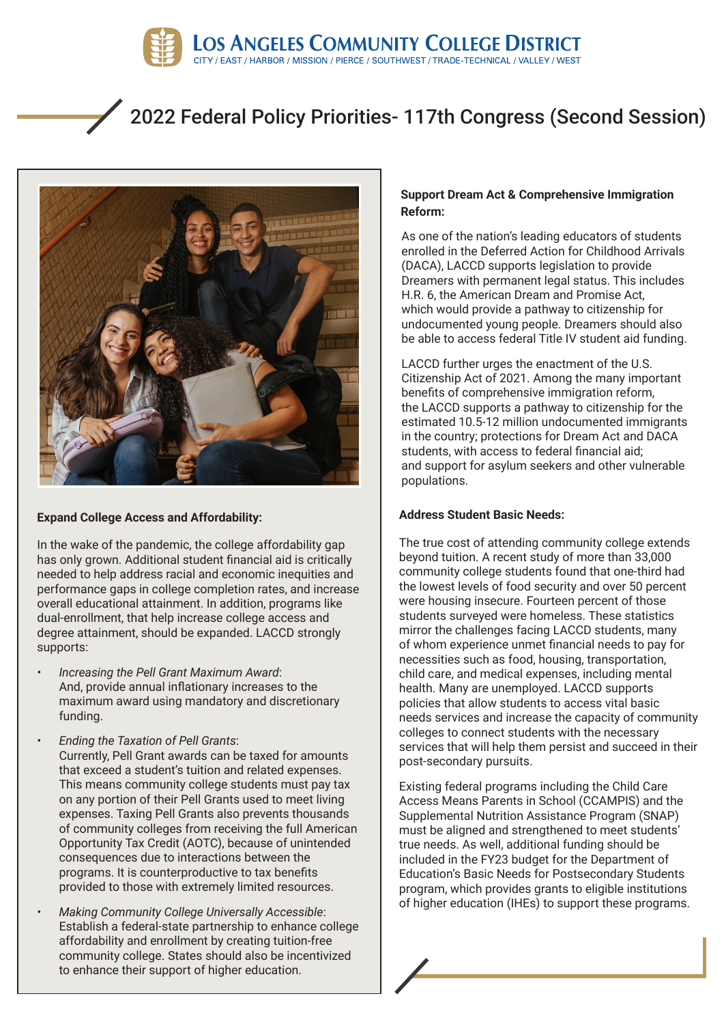

# 2022 Federal Policy Priorities- 117th Congress (Second Session)



# **Expand College Access and Affordability: Address Student Basic Needs:**

In the wake of the pandemic, the college affordability gap has only grown. Additional student financial aid is critically needed to help address racial and economic inequities and performance gaps in college completion rates, and increase overall educational attainment. In addition, programs like dual-enrollment, that help increase college access and degree attainment, should be expanded. LACCD strongly supports:

- *• Increasing the Pell Grant Maximum Award*: And, provide annual inflationary increases to the maximum award using mandatory and discretionary funding.
- *• Ending the Taxation of Pell Grants*: Currently, Pell Grant awards can be taxed for amounts that exceed a student's tuition and related expenses. This means community college students must pay tax on any portion of their Pell Grants used to meet living expenses. Taxing Pell Grants also prevents thousands of community colleges from receiving the full American Opportunity Tax Credit (AOTC), because of unintended consequences due to interactions between the programs. It is counterproductive to tax benefits provided to those with extremely limited resources.
- *• Making Community College Universally Accessible*: Establish a federal-state partnership to enhance college affordability and enrollment by creating tuition-free community college. States should also be incentivized to enhance their support of higher education.

## **Support Dream Act & Comprehensive Immigration Reform:**

As one of the nation's leading educators of students enrolled in the Deferred Action for Childhood Arrivals (DACA), LACCD supports legislation to provide Dreamers with permanent legal status. This includes H.R. 6, the American Dream and Promise Act, which would provide a pathway to citizenship for undocumented young people. Dreamers should also be able to access federal Title IV student aid funding.

LACCD further urges the enactment of the U.S. Citizenship Act of 2021. Among the many important benefits of comprehensive immigration reform, the LACCD supports a pathway to citizenship for the estimated 10.5-12 million undocumented immigrants in the country; protections for Dream Act and DACA students, with access to federal financial aid; and support for asylum seekers and other vulnerable populations.

The true cost of attending community college extends beyond tuition. A recent study of more than 33,000 community college students found that one-third had the lowest levels of food security and over 50 percent were housing insecure. Fourteen percent of those students surveyed were homeless. These statistics mirror the challenges facing LACCD students, many of whom experience unmet financial needs to pay for necessities such as food, housing, transportation, child care, and medical expenses, including mental health. Many are unemployed. LACCD supports policies that allow students to access vital basic needs services and increase the capacity of community colleges to connect students with the necessary services that will help them persist and succeed in their post-secondary pursuits.

Existing federal programs including the Child Care Access Means Parents in School (CCAMPIS) and the Supplemental Nutrition Assistance Program (SNAP) must be aligned and strengthened to meet students' true needs. As well, additional funding should be included in the FY23 budget for the Department of Education's Basic Needs for Postsecondary Students program, which provides grants to eligible institutions of higher education (IHEs) to support these programs.